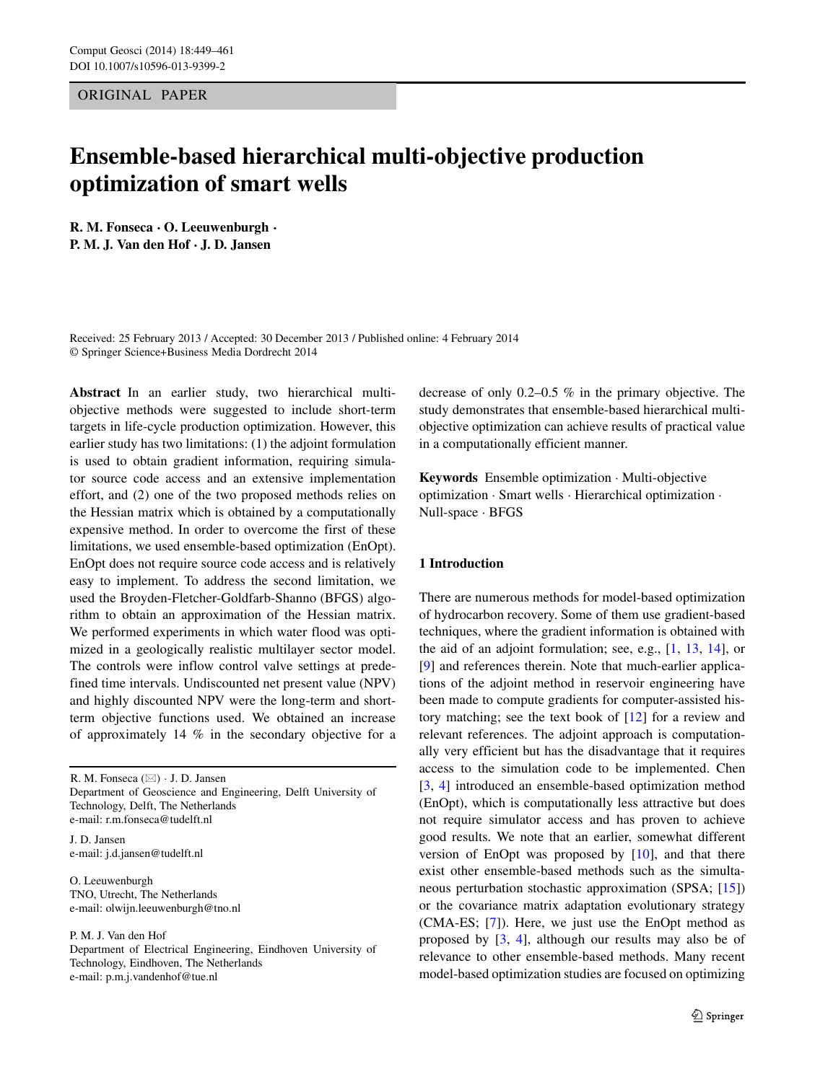# ORIGINAL PAPER

# **Ensemble-based hierarchical multi-objective production optimization of smart wells**

**R. M. Fonseca · O. Leeuwenburgh · P. M. J. Van den Hof · J. D. Jansen**

Received: 25 February 2013 / Accepted: 30 December 2013 / Published online: 4 February 2014 © Springer Science+Business Media Dordrecht 2014

**Abstract** In an earlier study, two hierarchical multiobjective methods were suggested to include short-term targets in life-cycle production optimization. However, this earlier study has two limitations: (1) the adjoint formulation is used to obtain gradient information, requiring simulator source code access and an extensive implementation effort, and (2) one of the two proposed methods relies on the Hessian matrix which is obtained by a computationally expensive method. In order to overcome the first of these limitations, we used ensemble-based optimization (EnOpt). EnOpt does not require source code access and is relatively easy to implement. To address the second limitation, we used the Broyden-Fletcher-Goldfarb-Shanno (BFGS) algorithm to obtain an approximation of the Hessian matrix. We performed experiments in which water flood was optimized in a geologically realistic multilayer sector model. The controls were inflow control valve settings at predefined time intervals. Undiscounted net present value (NPV) and highly discounted NPV were the long-term and shortterm objective functions used. We obtained an increase of approximately 14 % in the secondary objective for a

R. M. Fonseca  $(\boxtimes) \cdot$  J. D. Jansen Department of Geoscience and Engineering, Delft University of Technology, Delft, The Netherlands e-mail: [r.m.fonseca@tudelft.nl](mailto:r.m.fonseca@tudelft.nl)

J. D. Jansen e-mail: [j.d.jansen@tudelft.nl](mailto:j.d.jansen@tudelft.nl)

O. Leeuwenburgh TNO, Utrecht, The Netherlands e-mail: [olwijn.leeuwenburgh@tno.nl](mailto:olwijn.leeuwenburgh@tno.nl)

P. M. J. Van den Hof Department of Electrical Engineering, Eindhoven University of Technology, Eindhoven, The Netherlands e-mail: [p.m.j.vandenhof@tue.nl](mailto:p.m.j.vandenhof@tue.nl)

decrease of only 0.2–0.5 % in the primary objective. The study demonstrates that ensemble-based hierarchical multiobjective optimization can achieve results of practical value in a computationally efficient manner.

**Keywords** Ensemble optimization · Multi-objective optimization · Smart wells · Hierarchical optimization · Null-space · BFGS

## **1 Introduction**

There are numerous methods for model-based optimization of hydrocarbon recovery. Some of them use gradient-based techniques, where the gradient information is obtained with the aid of an adjoint formulation; see, e.g., [\[1,](#page-12-0) [13,](#page-12-1) [14\]](#page-12-2), or [\[9\]](#page-12-3) and references therein. Note that much-earlier applications of the adjoint method in reservoir engineering have been made to compute gradients for computer-assisted history matching; see the text book of [\[12\]](#page-12-4) for a review and relevant references. The adjoint approach is computationally very efficient but has the disadvantage that it requires access to the simulation code to be implemented. Chen [\[3,](#page-12-5) [4\]](#page-12-6) introduced an ensemble-based optimization method (EnOpt), which is computationally less attractive but does not require simulator access and has proven to achieve good results. We note that an earlier, somewhat different version of EnOpt was proposed by [\[10\]](#page-12-7), and that there exist other ensemble-based methods such as the simultaneous perturbation stochastic approximation (SPSA; [\[15\]](#page-12-8)) or the covariance matrix adaptation evolutionary strategy (CMA-ES; [\[7\]](#page-12-9)). Here, we just use the EnOpt method as proposed by [\[3,](#page-12-5) [4\]](#page-12-6), although our results may also be of relevance to other ensemble-based methods. Many recent model-based optimization studies are focused on optimizing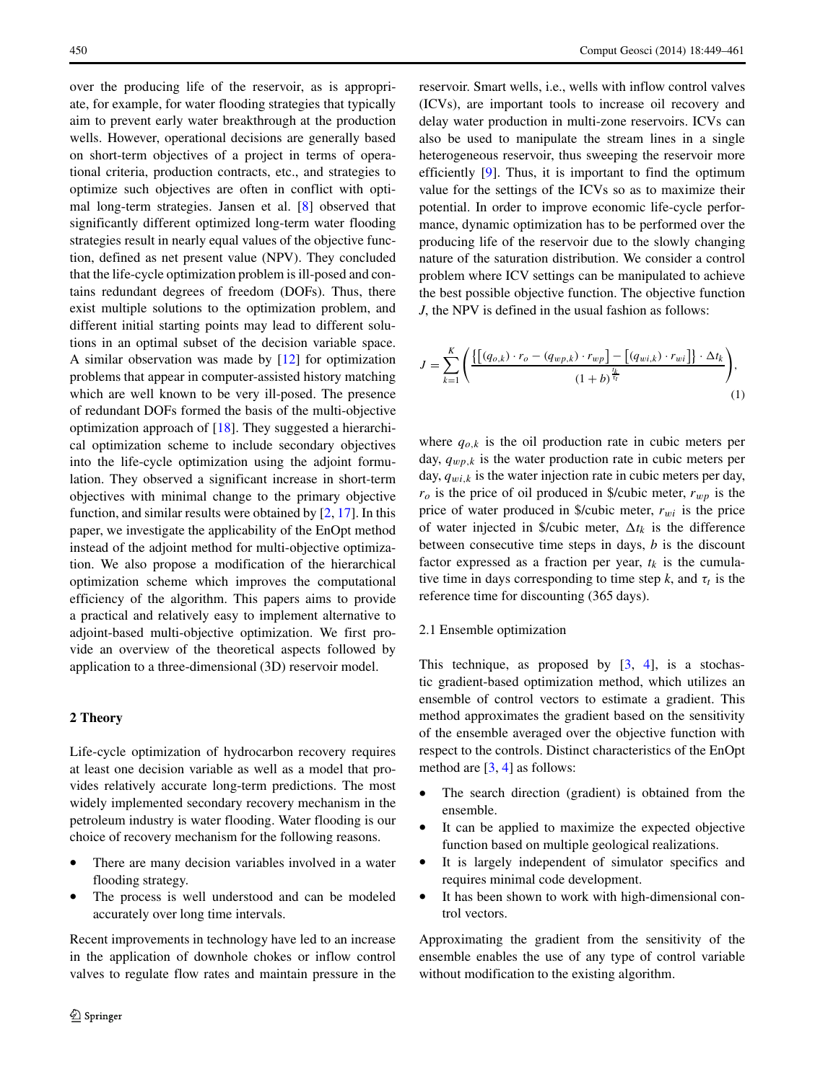over the producing life of the reservoir, as is appropriate, for example, for water flooding strategies that typically aim to prevent early water breakthrough at the production wells. However, operational decisions are generally based on short-term objectives of a project in terms of operational criteria, production contracts, etc., and strategies to optimize such objectives are often in conflict with optimal long-term strategies. Jansen et al. [\[8\]](#page-12-10) observed that significantly different optimized long-term water flooding strategies result in nearly equal values of the objective function, defined as net present value (NPV). They concluded that the life-cycle optimization problem is ill-posed and contains redundant degrees of freedom (DOFs). Thus, there exist multiple solutions to the optimization problem, and different initial starting points may lead to different solutions in an optimal subset of the decision variable space. A similar observation was made by [\[12\]](#page-12-4) for optimization problems that appear in computer-assisted history matching which are well known to be very ill-posed. The presence of redundant DOFs formed the basis of the multi-objective optimization approach of [\[18\]](#page-12-11). They suggested a hierarchical optimization scheme to include secondary objectives into the life-cycle optimization using the adjoint formulation. They observed a significant increase in short-term objectives with minimal change to the primary objective function, and similar results were obtained by  $[2, 17]$  $[2, 17]$  $[2, 17]$ . In this paper, we investigate the applicability of the EnOpt method instead of the adjoint method for multi-objective optimization. We also propose a modification of the hierarchical optimization scheme which improves the computational efficiency of the algorithm. This papers aims to provide a practical and relatively easy to implement alternative to adjoint-based multi-objective optimization. We first provide an overview of the theoretical aspects followed by application to a three-dimensional (3D) reservoir model.

# **2 Theory**

Life-cycle optimization of hydrocarbon recovery requires at least one decision variable as well as a model that provides relatively accurate long-term predictions. The most widely implemented secondary recovery mechanism in the petroleum industry is water flooding. Water flooding is our choice of recovery mechanism for the following reasons.

- There are many decision variables involved in a water flooding strategy.
- The process is well understood and can be modeled accurately over long time intervals.

Recent improvements in technology have led to an increase in the application of downhole chokes or inflow control valves to regulate flow rates and maintain pressure in the reservoir. Smart wells, i.e., wells with inflow control valves (ICVs), are important tools to increase oil recovery and delay water production in multi-zone reservoirs. ICVs can also be used to manipulate the stream lines in a single heterogeneous reservoir, thus sweeping the reservoir more efficiently [\[9\]](#page-12-3). Thus, it is important to find the optimum value for the settings of the ICVs so as to maximize their potential. In order to improve economic life-cycle performance, dynamic optimization has to be performed over the producing life of the reservoir due to the slowly changing nature of the saturation distribution. We consider a control problem where ICV settings can be manipulated to achieve the best possible objective function. The objective function *J*, the NPV is defined in the usual fashion as follows:

<span id="page-1-0"></span>
$$
J = \sum_{k=1}^{K} \left( \frac{\{ \left[ (q_{o,k}) \cdot r_o - (q_{wp,k}) \cdot r_{wp} \right] - \left[ (q_{wi,k}) \cdot r_{wi} \right] \} \cdot \Delta t_k}{(1+b)^{\frac{t_k}{\tau_i}}} \right),\tag{1}
$$

where  $q_{o,k}$  is the oil production rate in cubic meters per day,  $q_{wp,k}$  is the water production rate in cubic meters per day, *qwi,k* is the water injection rate in cubic meters per day,  $r<sub>o</sub>$  is the price of oil produced in \$/cubic meter,  $r<sub>wp</sub>$  is the price of water produced in  $\mathcal{S}/\text{cubic meter}, r_{wi}$  is the price of water injected in \$/cubic meter,  $\Delta t_k$  is the difference between consecutive time steps in days, *b* is the discount factor expressed as a fraction per year,  $t_k$  is the cumulative time in days corresponding to time step  $k$ , and  $\tau_t$  is the reference time for discounting (365 days).

#### 2.1 Ensemble optimization

This technique, as proposed by  $[3, 4]$  $[3, 4]$  $[3, 4]$ , is a stochastic gradient-based optimization method, which utilizes an ensemble of control vectors to estimate a gradient. This method approximates the gradient based on the sensitivity of the ensemble averaged over the objective function with respect to the controls. Distinct characteristics of the EnOpt method are [\[3,](#page-12-5) [4\]](#page-12-6) as follows:

- The search direction (gradient) is obtained from the ensemble.
- It can be applied to maximize the expected objective function based on multiple geological realizations.
- It is largely independent of simulator specifics and requires minimal code development.
- It has been shown to work with high-dimensional control vectors.

Approximating the gradient from the sensitivity of the ensemble enables the use of any type of control variable without modification to the existing algorithm.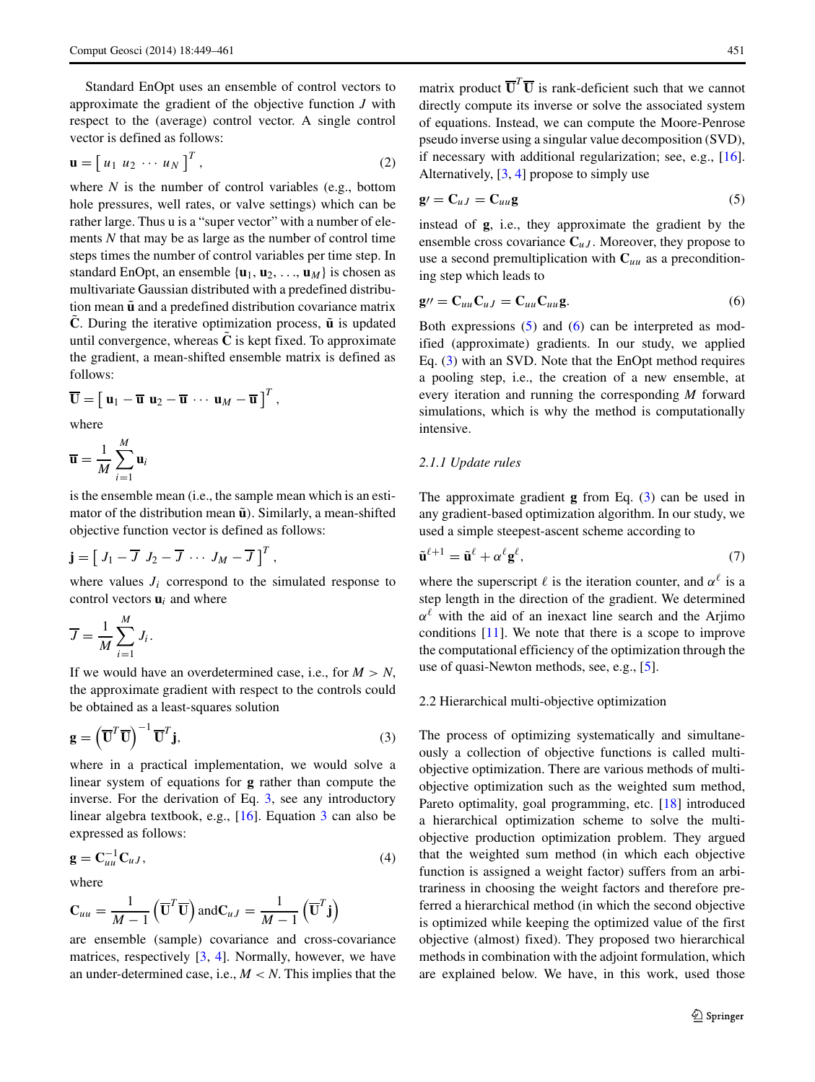Standard EnOpt uses an ensemble of control vectors to approximate the gradient of the objective function *J* with respect to the (average) control vector. A single control vector is defined as follows:

$$
\mathbf{u} = \begin{bmatrix} u_1 & u_2 & \cdots & u_N \end{bmatrix}^T, \tag{2}
$$

where *N* is the number of control variables (e.g., bottom hole pressures, well rates, or valve settings) which can be rather large. Thus u is a "super vector" with a number of elements *N* that may be as large as the number of control time steps times the number of control variables per time step. In standard EnOpt, an ensemble  $\{u_1, u_2, \ldots, u_M\}$  is chosen as multivariate Gaussian distributed with a predefined distribution mean  $\tilde{u}$  and a predefined distribution covariance matrix **C**. During the iterative optimization process,  $\tilde{\mathbf{u}}$  is updated until convergence, whereas  $C$  is kept fixed. To approximate the gradient, a mean-shifted ensemble matrix is defined as follows:

$$
\overline{\mathbf{U}} = [\mathbf{u}_1 - \overline{\mathbf{u}} \ \mathbf{u}_2 - \overline{\mathbf{u}} \ \cdots \ \mathbf{u}_M - \overline{\mathbf{u}}]^T,
$$

where

$$
\overline{\mathbf{u}} = \frac{1}{M} \sum_{i=1}^{M} \mathbf{u}_i
$$

is the ensemble mean (i.e., the sample mean which is an estimator of the distribution mean  $\tilde{u}$ ). Similarly, a mean-shifted objective function vector is defined as follows:

$$
\mathbf{j} = \left[ J_1 - \overline{J} J_2 - \overline{J} \cdots J_M - \overline{J} \right]^T,
$$

where values  $J_i$  correspond to the simulated response to control vectors **u***i* and where

$$
\overline{J} = \frac{1}{M} \sum_{i=1}^{M} J_i.
$$

If we would have an overdetermined case, i.e., for  $M > N$ , the approximate gradient with respect to the controls could be obtained as a least-squares solution

$$
\mathbf{g} = \left(\overline{\mathbf{U}}^T \overline{\mathbf{U}}\right)^{-1} \overline{\mathbf{U}}^T \mathbf{j},\tag{3}
$$

where in a practical implementation, we would solve a linear system of equations for **g** rather than compute the inverse. For the derivation of Eq. [3,](#page-2-0) see any introductory linear algebra textbook, e.g., [\[16\]](#page-12-14). Equation [3](#page-2-0) can also be expressed as follows:

$$
\mathbf{g} = \mathbf{C}_{uu}^{-1} \mathbf{C}_{uJ},\tag{4}
$$

where

$$
\mathbf{C}_{uu} = \frac{1}{M-1} \left( \overline{\mathbf{U}}^T \overline{\mathbf{U}} \right) \text{and} \mathbf{C}_{uJ} = \frac{1}{M-1} \left( \overline{\mathbf{U}}^T \mathbf{j} \right)
$$

are ensemble (sample) covariance and cross-covariance matrices, respectively [\[3,](#page-12-5) [4\]](#page-12-6). Normally, however, we have an under-determined case, i.e.,  $M < N$ . This implies that the

matrix product  $\overline{\mathbf{U}}^T \overline{\mathbf{U}}$  is rank-deficient such that we cannot directly compute its inverse or solve the associated system of equations. Instead, we can compute the Moore-Penrose pseudo inverse using a singular value decomposition (SVD), if necessary with additional regularization; see, e.g., [\[16\]](#page-12-14). Alternatively, [\[3,](#page-12-5) [4\]](#page-12-6) propose to simply use

<span id="page-2-1"></span>
$$
\mathbf{g} = \mathbf{C}_{uJ} = \mathbf{C}_{uu}\mathbf{g} \tag{5}
$$

instead of **g**, i.e., they approximate the gradient by the ensemble cross covariance  $C_{uJ}$ . Moreover, they propose to use a second premultiplication with **C***uu* as a preconditioning step which leads to

<span id="page-2-2"></span>
$$
\mathbf{g}^{\prime\prime} = \mathbf{C}_{uu}\mathbf{C}_{uJ} = \mathbf{C}_{uu}\mathbf{C}_{uu}\mathbf{g}.\tag{6}
$$

Both expressions [\(5\)](#page-2-1) and [\(6\)](#page-2-2) can be interpreted as modified (approximate) gradients. In our study, we applied Eq. [\(3\)](#page-2-0) with an SVD. Note that the EnOpt method requires a pooling step, i.e., the creation of a new ensemble, at every iteration and running the corresponding *M* forward simulations, which is why the method is computationally intensive.

# *2.1.1 Update rules*

The approximate gradient **g** from Eq. [\(3\)](#page-2-0) can be used in any gradient-based optimization algorithm. In our study, we used a simple steepest-ascent scheme according to

$$
\tilde{\mathbf{u}}^{\ell+1} = \tilde{\mathbf{u}}^{\ell} + \alpha^{\ell} \mathbf{g}^{\ell},\tag{7}
$$

where the superscript  $\ell$  is the iteration counter, and  $\alpha^{\ell}$  is a step length in the direction of the gradient. We determined  $\alpha^{\ell}$  with the aid of an inexact line search and the Arjimo conditions [\[11\]](#page-12-15). We note that there is a scope to improve the computational efficiency of the optimization through the use of quasi-Newton methods, see, e.g., [\[5\]](#page-12-16).

#### <span id="page-2-0"></span>2.2 Hierarchical multi-objective optimization

The process of optimizing systematically and simultaneously a collection of objective functions is called multiobjective optimization. There are various methods of multiobjective optimization such as the weighted sum method, Pareto optimality, goal programming, etc. [\[18\]](#page-12-11) introduced a hierarchical optimization scheme to solve the multiobjective production optimization problem. They argued that the weighted sum method (in which each objective function is assigned a weight factor) suffers from an arbitrariness in choosing the weight factors and therefore preferred a hierarchical method (in which the second objective is optimized while keeping the optimized value of the first objective (almost) fixed). They proposed two hierarchical methods in combination with the adjoint formulation, which are explained below. We have, in this work, used those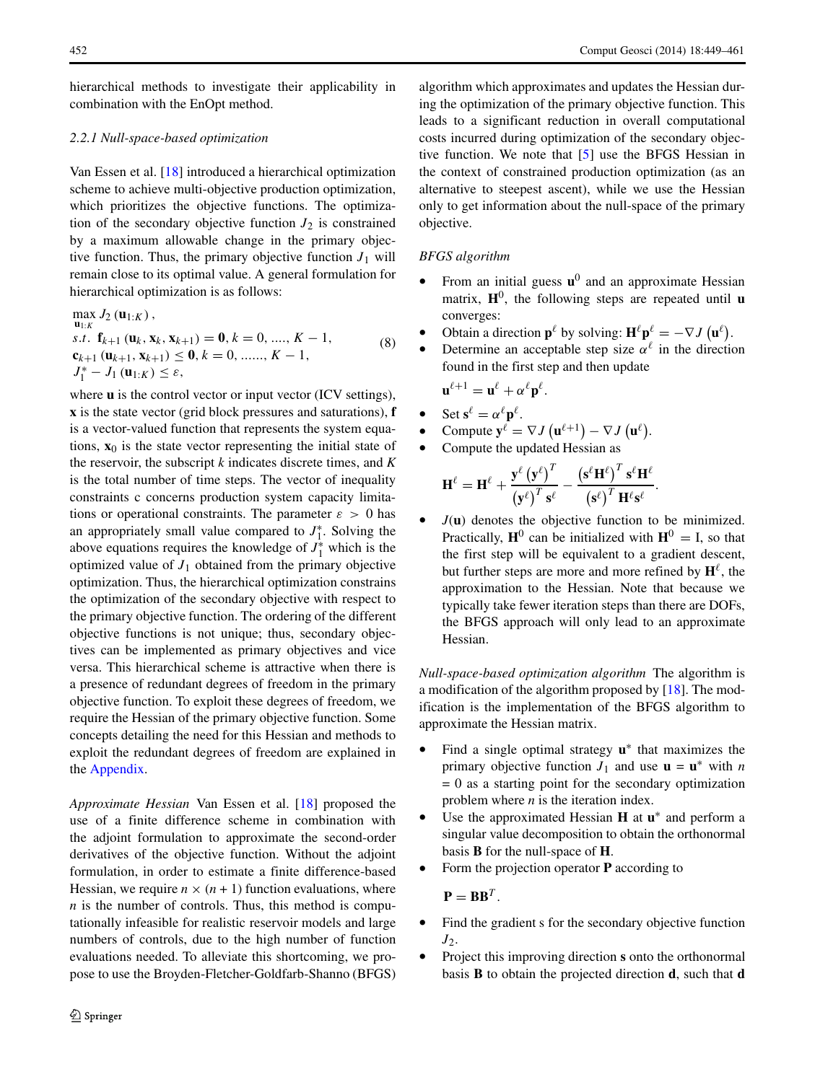hierarchical methods to investigate their applicability in combination with the EnOpt method.

#### *2.2.1 Null-space-based optimization*

Van Essen et al. [\[18\]](#page-12-11) introduced a hierarchical optimization scheme to achieve multi-objective production optimization, which prioritizes the objective functions. The optimization of the secondary objective function  $J_2$  is constrained by a maximum allowable change in the primary objective function. Thus, the primary objective function  $J_1$  will remain close to its optimal value. A general formulation for hierarchical optimization is as follows:

$$
\max_{\mathbf{u}_{1:K}} J_2(\mathbf{u}_{1:K}),
$$
  
s.t.  $\mathbf{f}_{k+1}(\mathbf{u}_k, \mathbf{x}_k, \mathbf{x}_{k+1}) = \mathbf{0}, k = 0, ..., K - 1,$   
 $\mathbf{c}_{k+1}(\mathbf{u}_{k+1}, \mathbf{x}_{k+1}) \leq \mathbf{0}, k = 0, ..., K - 1,$   
 $J_1^* - J_1(\mathbf{u}_{1:K}) \leq \varepsilon,$  (8)

where **u** is the control vector or input vector (ICV settings), **x** is the state vector (grid block pressures and saturations), **f** is a vector-valued function that represents the system equations, **x**<sup>0</sup> is the state vector representing the initial state of the reservoir, the subscript *k* indicates discrete times, and *K* is the total number of time steps. The vector of inequality constraints c concerns production system capacity limitations or operational constraints. The parameter  $\varepsilon > 0$  has an appropriately small value compared to  $J_1^*$ . Solving the above equations requires the knowledge of  $J_1^*$  which is the optimized value of  $J_1$  obtained from the primary objective optimization. Thus, the hierarchical optimization constrains the optimization of the secondary objective with respect to the primary objective function. The ordering of the different objective functions is not unique; thus, secondary objectives can be implemented as primary objectives and vice versa. This hierarchical scheme is attractive when there is a presence of redundant degrees of freedom in the primary objective function. To exploit these degrees of freedom, we require the Hessian of the primary objective function. Some concepts detailing the need for this Hessian and methods to exploit the redundant degrees of freedom are explained in the [Appendix.](#page-11-0)

*Approximate Hessian* Van Essen et al. [\[18\]](#page-12-11) proposed the use of a finite difference scheme in combination with the adjoint formulation to approximate the second-order derivatives of the objective function. Without the adjoint formulation, in order to estimate a finite difference-based Hessian, we require  $n \times (n + 1)$  function evaluations, where *n* is the number of controls. Thus, this method is computationally infeasible for realistic reservoir models and large numbers of controls, due to the high number of function evaluations needed. To alleviate this shortcoming, we propose to use the Broyden-Fletcher-Goldfarb-Shanno (BFGS) algorithm which approximates and updates the Hessian during the optimization of the primary objective function. This leads to a significant reduction in overall computational costs incurred during optimization of the secondary objective function. We note that [\[5\]](#page-12-16) use the BFGS Hessian in the context of constrained production optimization (as an alternative to steepest ascent), while we use the Hessian only to get information about the null-space of the primary objective.

## *BFGS algorithm*

- <span id="page-3-0"></span>From an initial guess  $\mathbf{u}^0$  and an approximate Hessian matrix,  $\mathbf{H}^0$ , the following steps are repeated until **u** converges:
- Obtain a direction  $\mathbf{p}^{\ell}$  by solving:  $\mathbf{H}^{\ell} \mathbf{p}^{\ell} = -\nabla J \left( \mathbf{u}^{\ell} \right)$ .
- Determine an acceptable step size  $\alpha^{\ell}$  in the direction found in the first step and then update

$$
\mathbf{u}^{\ell+1} = \mathbf{u}^{\ell} + \alpha^{\ell} \mathbf{p}^{\ell}.
$$

- Set  $s^{\ell} = \alpha^{\ell} p^{\ell}$ .
- Compute  $y^{\ell} = \nabla J (u^{\ell+1}) \nabla J (u^{\ell}).$
- Compute the updated Hessian as

$$
\mathbf{H}^{\ell} = \mathbf{H}^{\ell} + \frac{\mathbf{y}^{\ell} (\mathbf{y}^{\ell})^T}{(\mathbf{y}^{\ell})^T \mathbf{s}^{\ell}} - \frac{(\mathbf{s}^{\ell} \mathbf{H}^{\ell})^T \mathbf{s}^{\ell} \mathbf{H}^{\ell}}{(\mathbf{s}^{\ell})^T \mathbf{H}^{\ell} \mathbf{s}^{\ell}}.
$$

 $J(u)$  denotes the objective function to be minimized. Practically,  $\mathbf{H}^0$  can be initialized with  $\mathbf{H}^0 = I$ , so that the first step will be equivalent to a gradient descent, but further steps are more and more refined by  $H^{\ell}$ , the approximation to the Hessian. Note that because we typically take fewer iteration steps than there are DOFs, the BFGS approach will only lead to an approximate Hessian.

*Null-space-based optimization algorithm* The algorithm is a modification of the algorithm proposed by [18]. The modification is the implementation of the BFG[S](#page-12-11) [a](#page-12-11)lgorithm to approximate the Hessian matrix.

- Find a single optimal strategy **u**<sup>∗</sup> that maximizes the primary objective function  $J_1$  and use  $\mathbf{u} = \mathbf{u}^*$  with *n*  $= 0$  as a starting point for the secondary optimization problem where *n* is the iteration index.
- Use the approximated Hessian **H** at  $\mathbf{u}^*$  and perform a singular value decomposition to obtain the orthonormal basis **B** for the null-space of **H**.
- Form the projection operator **P** according to

# $P = BB^T$ .

- Find the gradient s for the secondary objective function *J*2.
- Project this improving direction **s** onto the orthonormal basis **B** to obtain the projected direction **d**, such that **d**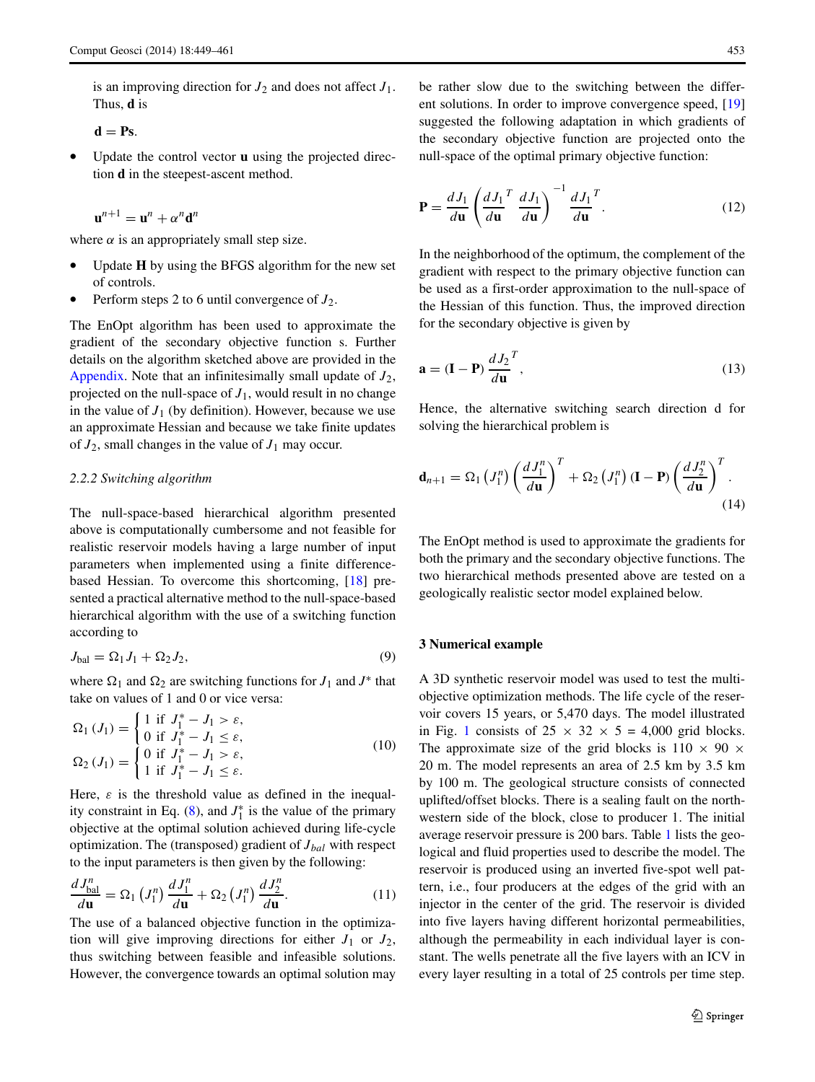is an improving direction for  $J_2$  and does not affect  $J_1$ . Thus, **d** is

$$
\mathbf{d}=\mathbf{P}\mathbf{s}.
$$

Update the control vector **u** using the projected direction **d** in the steepest-ascent method.

$$
\mathbf{u}^{n+1} = \mathbf{u}^n + \alpha^n \mathbf{d}^n
$$

where  $\alpha$  is an appropriately small step size.

- Update **H** by using the BFGS algorithm for the new set of controls.
- Perform steps 2 to 6 until convergence of *J*2.

The EnOpt algorithm has been used to approximate the gradient of the secondary objective function s. Further details on the algorithm sketched above are provided in the Appendix. Note that an infinitesimally small update of *J*2, projected on the null-space of  $J_1$ , would result in no change [in the valu](#page-11-0)e of  $J_1$  (by definition). However, because we use an approximate Hessian and because we take finite updates of  $J_2$ , small changes in the value of  $J_1$  may occur.

## *2.2.2 Switching algorithm*

The null-space-based hierarchical algorithm presented above is computationally cumbersome and not feasible for realistic reservoir models having a large number of input parameters when implemented using a finite differencebased Hessian. To overcome this shortcoming, [18] presented a practical alternative method to the null-space-based hierarchical algorithm with the use of a switching [fun](#page-12-11)ction according to

$$
J_{\text{bal}} = \Omega_1 J_1 + \Omega_2 J_2,\tag{9}
$$

where  $\Omega_1$  and  $\Omega_2$  are switching functions for *J*<sub>1</sub> and *J*<sup>\*</sup> that take on values of 1 and 0 or vice versa:

$$
\Omega_1 (J_1) = \begin{cases}\n1 & \text{if } J_1^* - J_1 > \varepsilon, \\
0 & \text{if } J_1^* - J_1 \le \varepsilon, \\
0 & \text{if } J_1^* - J_1 > \varepsilon, \\
1 & \text{if } J_1^* - J_1 > \varepsilon,\n\end{cases}
$$
\n(10)

Here,  $\varepsilon$  is the threshold value as defined in the inequality constraint in Eq.  $(8)$ , and  $J_1^*$  is the value of the primary objective at the optimal solution achieved during life-cycle optimization. The (tr[ans](#page-3-0)posed) gradient of *Jbal* with respect to the input parameters is then given by the following:

$$
\frac{dJ_{\text{bal}}^n}{d\mathbf{u}} = \Omega_1 \left( J_1^n \right) \frac{dJ_1^n}{d\mathbf{u}} + \Omega_2 \left( J_1^n \right) \frac{dJ_2^n}{d\mathbf{u}}.
$$
\n(11)

The use of a balanced objective function in the optimization will give improving directions for either  $J_1$  or  $J_2$ , thus switching between feasible and infeasible solutions. However, the convergence towards an optimal solution may

be rather slow due to the switching between the different solutions. In order to improve convergence speed, [19] suggested the following adaptation in which gradients of the secondary objective function are projected onto [the](#page-12-17) null-space of the optimal primary objective function:

$$
\mathbf{P} = \frac{dJ_1}{d\mathbf{u}} \left(\frac{dJ_1}{d\mathbf{u}}^T \frac{dJ_1}{d\mathbf{u}}\right)^{-1} \frac{dJ_1}{d\mathbf{u}}^T.
$$
 (12)

In the neighborhood of the optimum, the complement of the gradient with respect to the primary objective function can be used as a first-order approximation to the null-space of the Hessian of this function. Thus, the improved direction for the secondary objective is given by

$$
\mathbf{a} = (\mathbf{I} - \mathbf{P}) \frac{dJ_2}{d\mathbf{u}}^T,
$$
 (13)

Hence, the alternative switching search direction d for solving the hierarchical problem is

$$
\mathbf{d}_{n+1} = \Omega_1 \left( J_1^n \right) \left( \frac{d J_1^n}{d \mathbf{u}} \right)^T + \Omega_2 \left( J_1^n \right) (\mathbf{I} - \mathbf{P}) \left( \frac{d J_2^n}{d \mathbf{u}} \right)^T.
$$
\n(14)

The EnOpt method is used to approximate the gradients for both the primary and the secondary objective functions. The two hierarchical methods presented above are tested on a geologically realistic sector model explained below.

#### **3 Numerical example**

A 3D synthetic reservoir model was used to test the multiobjective optimization methods. The life cycle of the reservoir covers 15 years, or 5,470 days. The model illustrated in Fig. [1](#page-5-0) consists of  $25 \times 32 \times 5 = 4,000$  grid blocks. The approximate size of the grid blocks is  $110 \times 90 \times$ 20 m. The model represents an area of 2.5 km by 3.5 km by 100 m. The geological structure consists of connected uplifted/offset blocks. There is a sealing fault on the northwestern side of the block, close to producer 1. The initial average reservoir pressure is 200 bars. Table [1](#page-5-1) lists the geological and fluid properties used to describe the model. The reservoir is produced using an inverted five-spot well pattern, i.e., four producers at the edges of the grid with an injector in the center of the grid. The reservoir is divided into five layers having different horizontal permeabilities, although the permeability in each individual layer is constant. The wells penetrate all the five layers with an ICV in every layer resulting in a total of 25 controls per time step.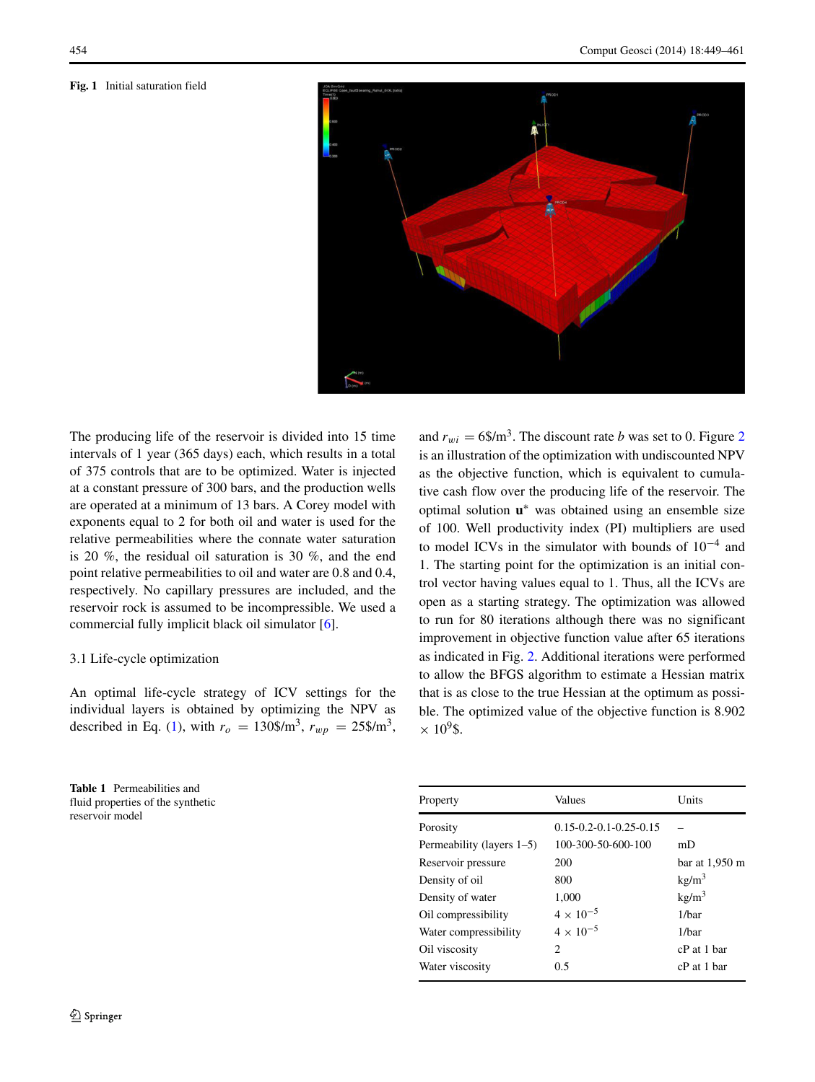#### <span id="page-5-0"></span>**Fig. 1** Initial saturation field



The producing life of the reservoir is divided into 15 time intervals of 1 year (365 days) each, which results in a total of 375 controls that are to be optimized. Water is injected at a constant pressure of 300 bars, and the production wells are operated at a minimum of 13 bars. A Corey model with exponents equal to 2 for both oil and water is used for the relative permeabilities where the connate water saturation is 20 %, the residual oil saturation is 30 %, and the end point relative permeabilities to oil and water are 0.8 and 0.4, respectively. No capillary pressures are included, and the reservoir rock is assumed to be incompressible. We used a commercial fully implicit black oil simulator [\[6\]](#page-12-18).

## 3.1 Life-cycle optimization

An optimal life-cycle strategy of ICV settings for the individual layers is obtained by optimizing the NPV as described in Eq. [\(1\)](#page-1-0), with  $r_o = 130\frac{m^3}{m^3}$ ,  $r_{wp} = 25\frac{m^3}{m^3}$ ,

<span id="page-5-1"></span>**Table 1** Permeabilities and fluid properties of the synthetic reservoir model

and  $r_{wi} = 6\$/m^3$ . The discount rate *b* was set to 0. Figure [2](#page-6-0) is an illustration of the optimization with undiscounted NPV as the objective function, which is equivalent to cumulative cash flow over the producing life of the reservoir. The optimal solution **u**∗ was obtained using an ensemble size of 100. Well productivity index (PI) multipliers are used to model ICVs in the simulator with bounds of 10−<sup>4</sup> and 1. The starting point for the optimization is an initial control vector having values equal to 1. Thus, all the ICVs are open as a starting strategy. The optimization was allowed to run for 80 iterations although there was no significant improvement in ob[jec](#page-6-0)tive function value after 65 iterations as indicated in Fig. 2. Additional iterations were performed to allow the BFGS algorithm to estimate a Hessian matrix that is as close to the true Hessian at the optimum as possible. The optimized value of the objective function is 8.902  $\times 10^9$ \$.

| Property                  | Values                           | Units             |
|---------------------------|----------------------------------|-------------------|
| Porosity                  | $0.15 - 0.2 - 0.1 - 0.25 - 0.15$ |                   |
| Permeability (layers 1–5) | 100-300-50-600-100               | mD                |
| Reservoir pressure        | 200                              | bar at 1,950 m    |
| Density of oil            | 800                              | kg/m <sup>3</sup> |
| Density of water          | 1.000                            | kg/m <sup>3</sup> |
| Oil compressibility       | $4 \times 10^{-5}$               | 1/har             |
| Water compressibility     | $4 \times 10^{-5}$               | 1/har             |
| Oil viscosity             | 2                                | cP at 1 bar       |
| Water viscosity           | 0.5                              | cP at 1 bar       |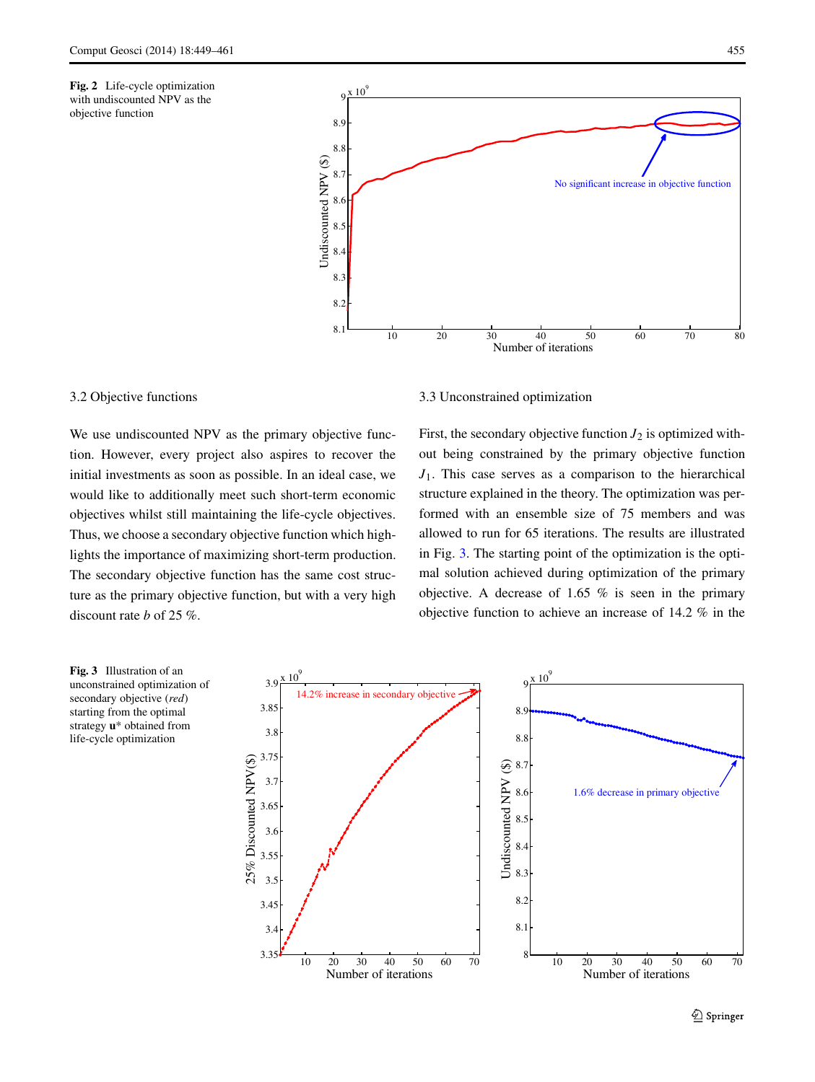<span id="page-6-0"></span>



## 3.2 Objective functions

We use undiscounted NPV as the primary objective function. However, every project also aspires to recover the initial investments as soon as possible. In an ideal case, we would like to additionally meet such short-term economic objectives whilst still maintaining the life-cycle objectives. Thus, we choose a secondary objective function which highlights the importance of maximizing short-term production. The secondary objective function has the same cost structure as the primary objective function, but with a very high discount rate *b* of 25 %.

## 3.3 Unconstrained optimization

First, the secondary objective function  $J_2$  is optimized without being constrained by the primary objective function *J*1. This case serves as a comparison to the hierarchical structure explained in the theory. The optimization was performed with an ensemble size of 75 members and was allowe[d t](#page-6-1)o run for 65 iterations. The results are illustrated in Fig. 3. The starting point of the optimization is the optimal solution achieved during optimization of the primary objective. A decrease of 1.65 % is seen in the primary objective function to achieve an increase of 14.2 % in the

<span id="page-6-1"></span>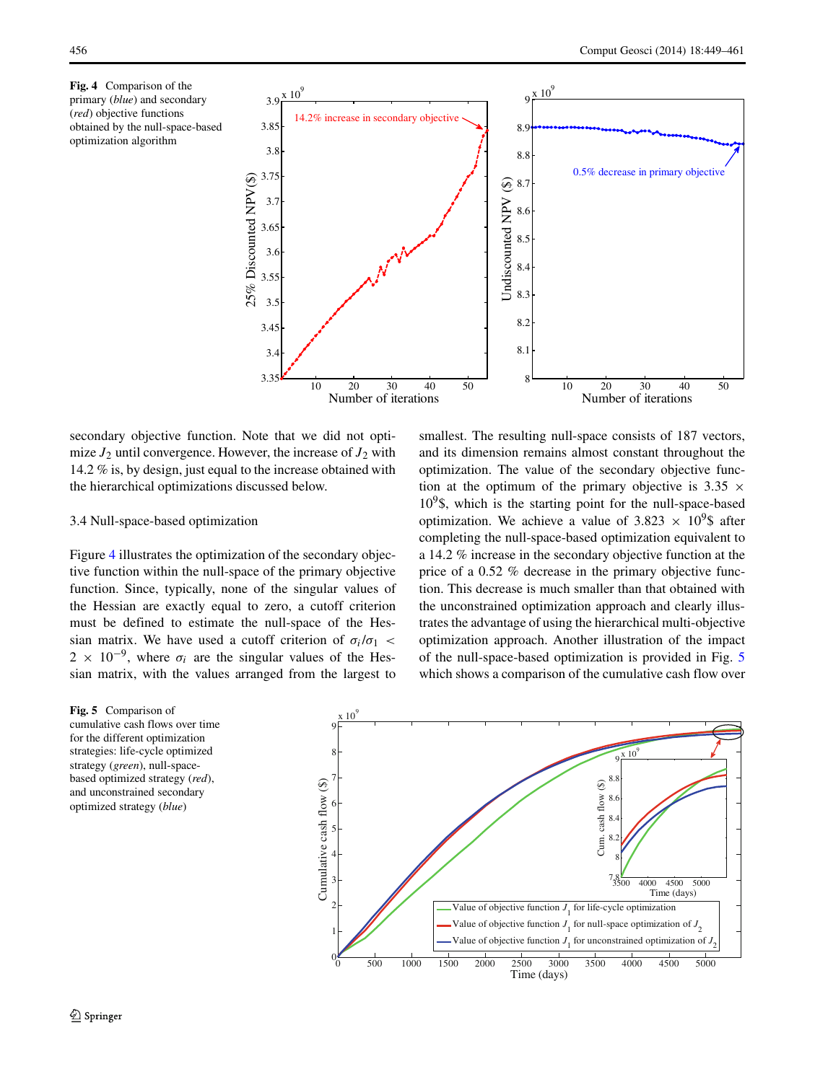<span id="page-7-0"></span>

secondary objective function. Note that we did not optimize  $J_2$  until convergence. However, the increase of  $J_2$  with 14.2 % is, by design, just equal to the increase obtained with the hierarchical optimizations discussed below.

# <span id="page-7-2"></span>3.4 Null-space-based optimization

Figure [4](#page-7-0) illustrates the optimization of the secondary objective function within the null-space of the primary objective function. Since, typically, none of the singular values of the Hessian are exactly equal to zero, a cutoff criterion must be defined to estimate the null-space of the Hessian matrix. We have used a cutoff criterion of  $\sigma_i/\sigma_1$  <  $2 \times 10^{-9}$ , where  $\sigma_i$  are the singular values of the Hessian matrix, with the values arranged from the largest to

<span id="page-7-1"></span>**Fig. 5** Comparison of cumulative cash flows over time for the different optimization strategies: life-cycle optimized strategy (*green*), null-spacebased optimized strategy (*red*), and unconstrained secondary optimized strategy (*blue*)

smallest. The resulting null-space consists of 187 vectors, and its dimension remains almost constant throughout the optimization. The value of the secondary objective function at the optimum of the primary objective is  $3.35 \times$  $10<sup>9</sup>$ \$, which is the starting point for the null-space-based optimization. We achieve a value of  $3.823 \times 10^9$ \$ after completing the null-space-based optimization equivalent to a 14.2 % increase in the secondary objective function at the price of a 0.52 % decrease in the primary objective function. This decrease is much smaller than that obtained with the unconstrained optimization approach and clearly illustrates the advantage of using the hierarchical multi-objective optimization approach. Another illustration of the impact of the null-space-based optimization is provided in Fig. [5](#page-7-1) which shows a comparison of the cumulative cash flow over

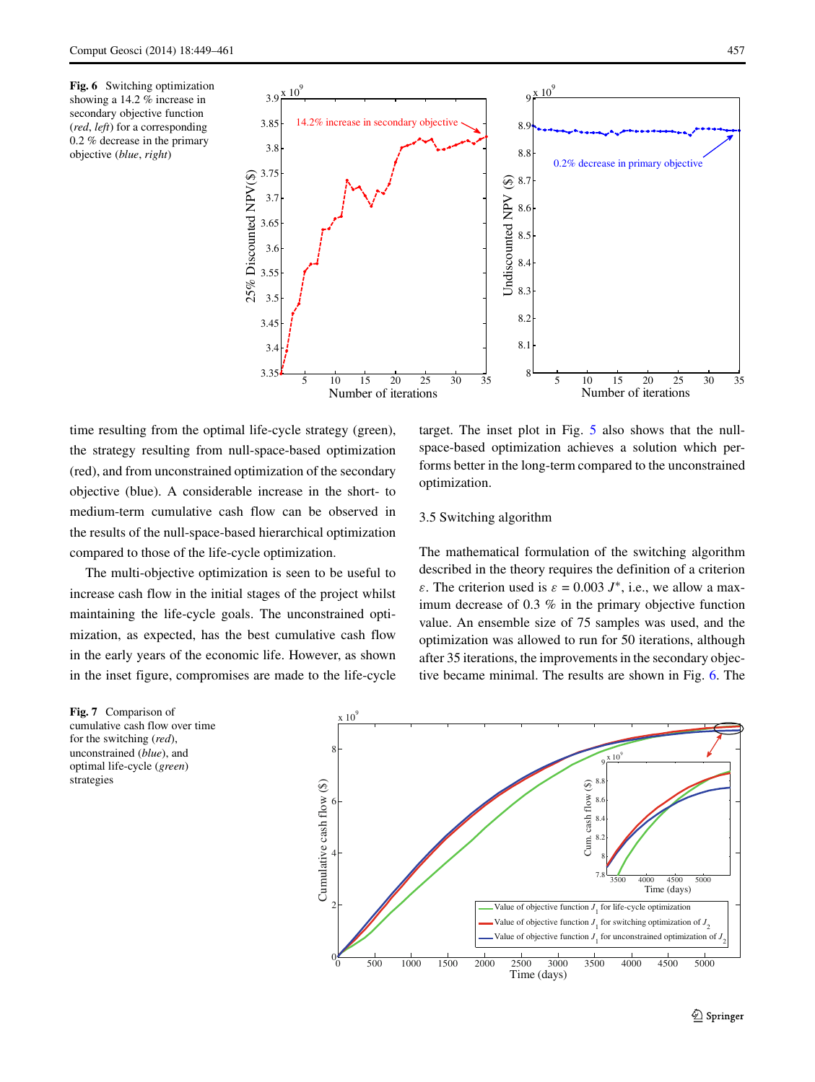<span id="page-8-0"></span>**Fig. 6** Switching optimization showing a 14.2 % increase in secondary objective function (*red*, *left*) for a corresponding 0.2 % decrease in the primary objective (*blue*, *right*)



time resulting from the optimal life-cycle strategy (green), the strategy resulting from null-space-based optimization (red), and from unconstrained optimization of the secondary objective (blue). A considerable increase in the short- to medium-term cumulative cash flow can be observed in the results of the null-space-based hierarchical optimization compared to those of the life-cycle optimization.

The multi-objective optimization is seen to be useful to increase cash flow in the initial stages of the project whilst maintaining the life-cycle goals. The unconstrained optimization, as expected, has the best cumulative cash flow in the early years of the economic life. However, as shown in the inset figure, compromises are made to the life-cycle target. The inset plot in Fig. [5](#page-7-1) also shows that the nullspace-based optimization achieves a solution which performs better in the long-term compared to the unconstrained optimization.

# 3.5 Switching algorithm

The mathematical formulation of the switching algorithm described in the theory requires the definition of a criterion *ε*. The criterion used is  $\varepsilon = 0.003 J^*$ , i.e., we allow a maximum decrease of 0.3 % in the primary objective function value. An ensemble size of 75 samples was used, and the optimization was allowed to run for 50 iterations, although after 35 iterations, the improvements in the secondary objective became minimal. The results are shown in Fig. [6.](#page-8-0) The

<span id="page-8-1"></span>**Fig. 7** Comparison of cumulative cash flow over time for the switching (*red*), unconstrained (*blue*), and optimal life-cycle (*green*) strategies

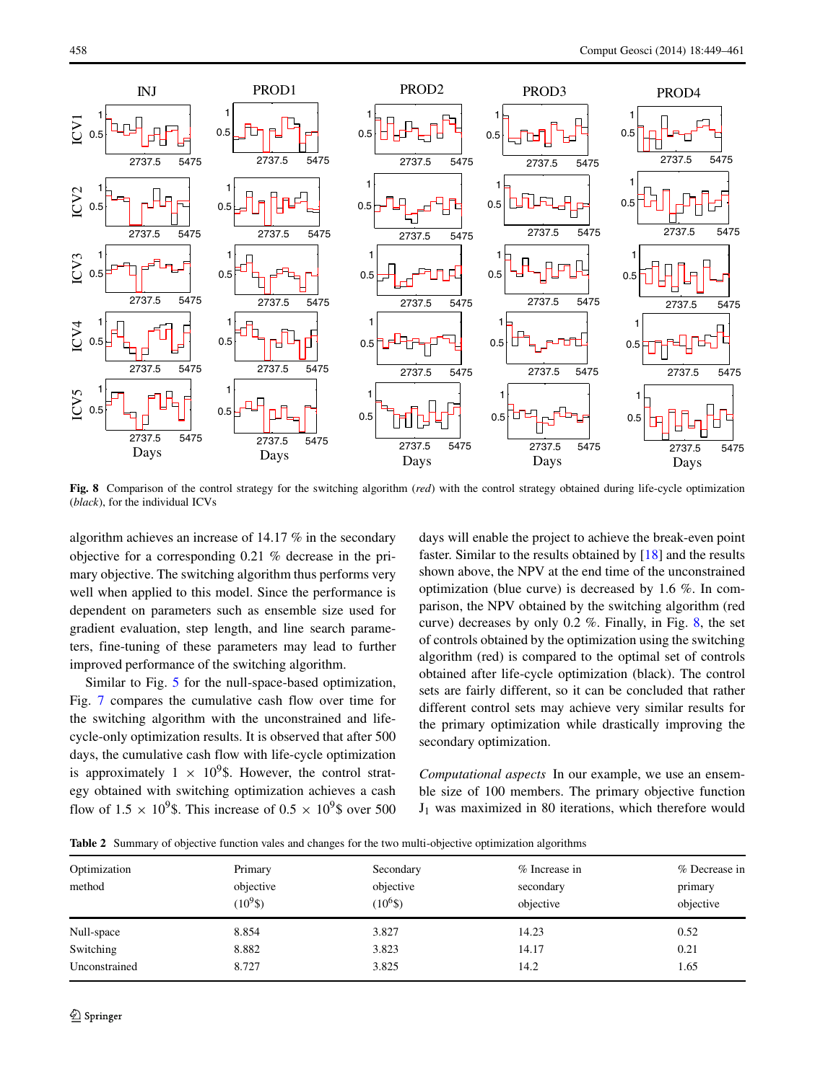<span id="page-9-0"></span>

**Fig. 8** Comparison of the control strategy for the switching algorithm (*red*) with the control strategy obtained during life-cycle optimization (*black*), for the individual ICVs

algorithm achieves an increase of 14.17 % in the secondary objective for a corresponding 0.21 % decrease in the primary objective. The switching algorithm thus performs very well when applied to this model. Since the performance is dependent on parameters such as ensemble size used for gradient evaluation, step length, and line search parameters, fine-tuning of these parameters may lead to further improved perform[an](#page-7-1)ce of the switching algorithm.

S[im](#page-8-1)ilar to Fig. 5 for the null-space-based optimization, Fig. 7 compares the cumulative cash flow over time for the switching algorithm with the unconstrained and lifecycle-only optimization results. It is observed that after 500 days, the cumulative cash flow with life-cycle optimization is approximately  $1 \times 10^9$ \$. However, the control strategy obtained with switching optimization achieves a cash flow of 1.5  $\times$  10<sup>9</sup>\$. This increase of 0.5  $\times$  10<sup>9</sup>\$ over 500 days will enable the project to achieve the break-even point faster. Similar to the results obtained by [\[18\]](#page-12-11) and the results shown above, the NPV at the end time of the unconstrained optimization (blue curve) is decreased by 1.6 %. In comparison, the NPV obtained by the switching algorithm (red curve) decreases by only 0.2 %. Finally, in Fig. [8,](#page-9-0) the set of controls obtained by the optimization using the switching algorithm (red) is compared to the optimal set of controls obtained after life-cycle optimization (black). The control sets are fairly different, so it can be concluded that rather different control sets may achieve very similar results for the primary optimization while drastically improving the secondary optimization.

*Computational aspects* In our example, we use an ensemble size of 100 members. The primary objective function J1 was maximized in 80 iterations, which therefore would

| Optimization<br>method | Primary<br>objective<br>$(10^9$ \$) | Secondary<br>objective<br>$(10^6$ \$) | % Increase in<br>secondary<br>objective | % Decrease in<br>primary<br>objective |
|------------------------|-------------------------------------|---------------------------------------|-----------------------------------------|---------------------------------------|
| Null-space             | 8.854                               | 3.827                                 | 14.23                                   | 0.52                                  |
| Switching              | 8.882                               | 3.823                                 | 14.17                                   | 0.21                                  |
| Unconstrained          | 8.727                               | 3.825                                 | 14.2                                    | 1.65                                  |

<span id="page-9-1"></span>**Table 2** Summary of objective function vales and changes for the two multi-objective optimization algorithms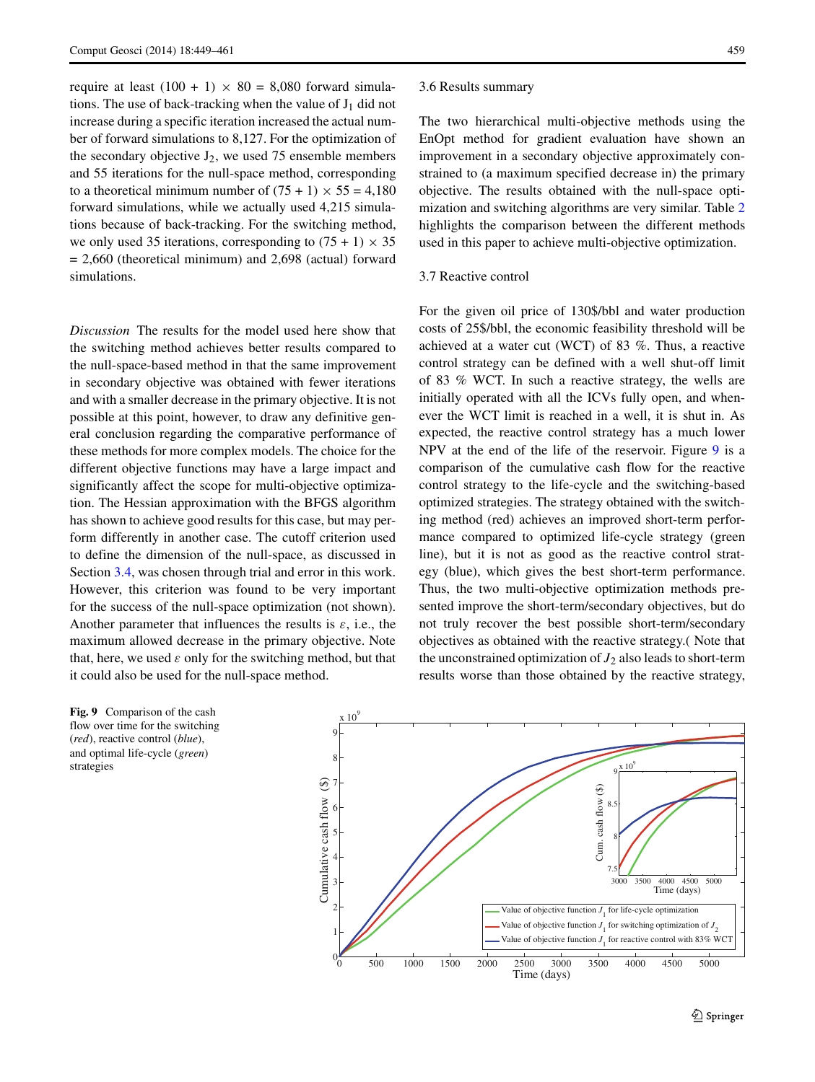require at least  $(100 + 1) \times 80 = 8,080$  forward simulations. The use of back-tracking when the value of  $J_1$  did not increase during a specific iteration increased the actual number of forward simulations to 8,127. For the optimization of the secondary objective  $J_2$ , we used 75 ensemble members and 55 iterations for the null-space method, corresponding to a theoretical minimum number of  $(75 + 1) \times 55 = 4,180$ forward simulations, while we actually used 4,215 simulations because of back-tracking. For the switching method, we only used 35 iterations, corresponding to  $(75 + 1) \times 35$ = 2,660 (theoretical minimum) and 2,698 (actual) forward simulations.

*Discussion* The results for the model used here show that the switching method achieves better results compared to the null-space-based method in that the same improvement in secondary objective was obtained with fewer iterations and with a smaller decrease in the primary objective. It is not possible at this point, however, to draw any definitive general conclusion regarding the comparative performance of these methods for more complex models. The choice for the different objective functions may have a large impact and significantly affect the scope for multi-objective optimization. The Hessian approximation with the BFGS algorithm has shown to achieve good results for this case, but may perform differently in another case. The cutoff criterion used to define the dimension of the null-space, as discussed in Section [3.4,](#page-7-2) was chosen through trial and error in this work. However, this criterion was found to be very important for the success of the null-space optimization (not shown). Another parameter that influences the results is *ε*, i.e., the maximum allowed decrease in the primary objective. Note that, here, we used  $\varepsilon$  only for the switching method, but that it could also be used for the null-space method.

#### 3.6 Results summary

The two hierarchical multi-objective methods using the EnOpt method for gradient evaluation have shown an improvement in a secondary objective approximately constrained to (a maximum specified decrease in) the primary objective. The results obtained with the null-space optimization and switching algorithms are very similar. Table [2](#page-9-1) highlights the comparison between the different methods used in this paper to achieve multi-objective optimization.

## 3.7 Reactive control

For the given oil price of 130\$/bbl and water production costs of 25\$/bbl, the economic feasibility threshold will be achieved at a water cut (WCT) of 83 %. Thus, a reactive control strategy can be defined with a well shut-off limit of 83 % WCT. In such a reactive strategy, the wells are initially operated with all the ICVs fully open, and whenever the WCT limit is reached in a well, it is shut in. As expected, the reactive control strategy has a much lower NPV at the end of the life of the reservoir. Figure [9](#page-10-0) is a comparison of the cumulative cash flow for the reactive control strategy to the life-cycle and the switching-based optimized strategies. The strategy obtained with the switching method (red) achieves an improved short-term performance compared to optimized life-cycle strategy (green line), but it is not as good as the reactive control strategy (blue), which gives the best short-term performance. Thus, the two multi-objective optimization methods presented improve the short-term/secondary objectives, but do not truly recover the best possible short-term/secondary objectives as obtained with the reactive strategy.( Note that the unconstrained optimization of  $J_2$  also leads to short-term results worse than those obtained by the reactive strategy,

<span id="page-10-0"></span>

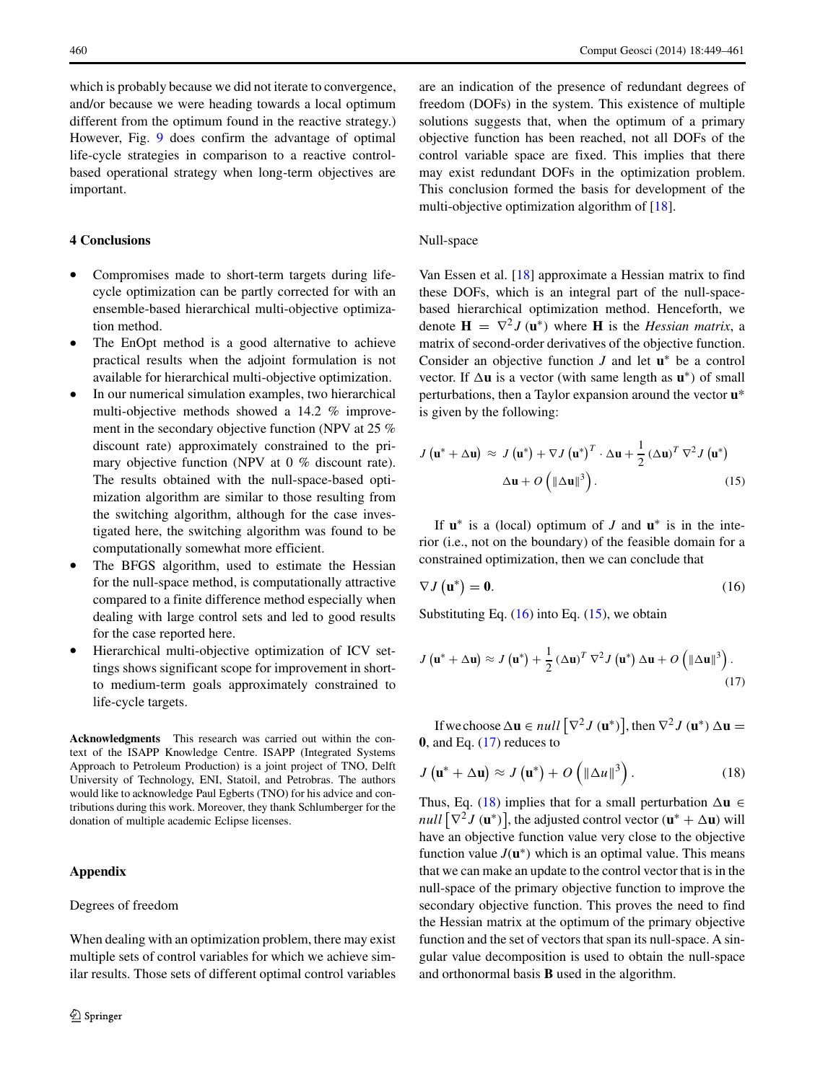which is probably because we did not iterate to convergence, and/or because we were heading towards a local optimum different from the optimum found in the reactive strategy.) However, Fig. [9](#page-10-0) does confirm the advantage of optimal life-cycle strategies in comparison to a reactive controlbased operational strategy when long-term objectives are important.

## **4 Conclusions**

- Compromises made to short-term targets during lifecycle optimization can be partly corrected for with an ensemble-based hierarchical multi-objective optimization method.
- The EnOpt method is a good alternative to achieve practical results when the adjoint formulation is not available for hierarchical multi-objective optimization.
- In our numerical simulation examples, two hierarchical multi-objective methods showed a 14.2 % improvement in the secondary objective function (NPV at 25 % discount rate) approximately constrained to the primary objective function (NPV at 0 % discount rate). The results obtained with the null-space-based optimization algorithm are similar to those resulting from the switching algorithm, although for the case investigated here, the switching algorithm was found to be computationally somewhat more efficient.
- The BFGS algorithm, used to estimate the Hessian for the null-space method, is computationally attractive compared to a finite difference method especially when dealing with large control sets and led to good results for the case reported here.
- Hierarchical multi-objective optimization of ICV settings shows significant scope for improvement in shortto medium-term goals approximately constrained to life-cycle targets.

**Acknowledgments** This research was carried out within the context of the ISAPP Knowledge Centre. ISAPP (Integrated Systems Approach to Petroleum Production) is a joint project of TNO, Delft University of Technology, ENI, Statoil, and Petrobras. The authors would like to acknowledge Paul Egberts (TNO) for his advice and contributions during this work. Moreover, they thank Schlumberger for the donation of multiple academic Eclipse licenses.

# <span id="page-11-0"></span>**Appendix**

#### Degrees of freedom

When dealing with an optimization problem, there may exist multiple sets of control variables for which we achieve similar results. Those sets of different optimal control variables are an indication of the presence of redundant degrees of freedom (DOFs) in the system. This existence of multiple solutions suggests that, when the optimum of a primary objective function has been reached, not all DOFs of the control variable space are fixed. This implies that there may exist redundant DOFs in the optimization problem. This conclusion formed the basis for development of the multi-objective optimization algorithm of [\[18\]](#page-12-11).

#### Null-space

Van Essen et al. [\[18\]](#page-12-11) approximate a Hessian matrix to find these DOFs, which is an integral part of the null-spacebased hierarchical optimization method. Henceforth, we denote  $\mathbf{H} = \nabla^2 J(\mathbf{u}^*)$  where **H** is the *Hessian matrix*, a matrix of second-order derivatives of the objective function. Consider an objective function *J* and let **u**∗ be a control vector. If  $\Delta$ **u** is a vector (with same length as  $\mathbf{u}^*$ ) of small perturbations, then a Taylor expansion around the vector **u**\* is given by the following:

<span id="page-11-2"></span>
$$
J(\mathbf{u}^* + \Delta \mathbf{u}) \approx J(\mathbf{u}^*) + \nabla J(\mathbf{u}^*)^T \cdot \Delta \mathbf{u} + \frac{1}{2} (\Delta \mathbf{u})^T \nabla^2 J(\mathbf{u}^*)
$$

$$
\Delta \mathbf{u} + O\left(\|\Delta \mathbf{u}\|^3\right). \tag{15}
$$

If **u**∗ is a (local) optimum of *J* and **u**∗ is in the interior (i.e., not on the boundary) of the feasible domain for a constrained optimization, then we can conclude that

<span id="page-11-1"></span>
$$
\nabla J\left(\mathbf{u}^*\right) = \mathbf{0}.\tag{16}
$$

<span id="page-11-3"></span>Substituting Eq.  $(16)$  into Eq.  $(15)$ , we obtain

$$
J\left(\mathbf{u}^* + \Delta \mathbf{u}\right) \approx J\left(\mathbf{u}^*\right) + \frac{1}{2} \left(\Delta \mathbf{u}\right)^T \nabla^2 J\left(\mathbf{u}^*\right) \Delta \mathbf{u} + O\left(\|\Delta \mathbf{u}\|^3\right). \tag{17}
$$

If we choose  $\Delta$ **u**  $\in$  *null*  $[\nabla^2 J(\mathbf{u}^*)]$ , then  $\nabla^2 J(\mathbf{u}^*) \Delta \mathbf{u}$  = **0**, and Eq. [\(17\)](#page-11-3) reduces to

<span id="page-11-4"></span>
$$
J\left(\mathbf{u}^* + \Delta \mathbf{u}\right) \approx J\left(\mathbf{u}^*\right) + O\left(\left\|\Delta u\right\|^3\right). \tag{18}
$$

Thus, Eq. [\(18\)](#page-11-4) implies that for a small perturbation  $\Delta$ **u**  $\in$ *null*  $[\nabla^2 J(\mathbf{u}^*)]$ , the adjusted control vector  $(\mathbf{u}^* + \Delta \mathbf{u})$  will have an objective function value very close to the objective function value  $J(\mathbf{u}^*)$  which is an optimal value. This means that we can make an update to the control vector that is in the null-space of the primary objective function to improve the secondary objective function. This proves the need to find the Hessian matrix at the optimum of the primary objective function and the set of vectors that span its null-space. A singular value decomposition is used to obtain the null-space and orthonormal basis **B** used in the algorithm.